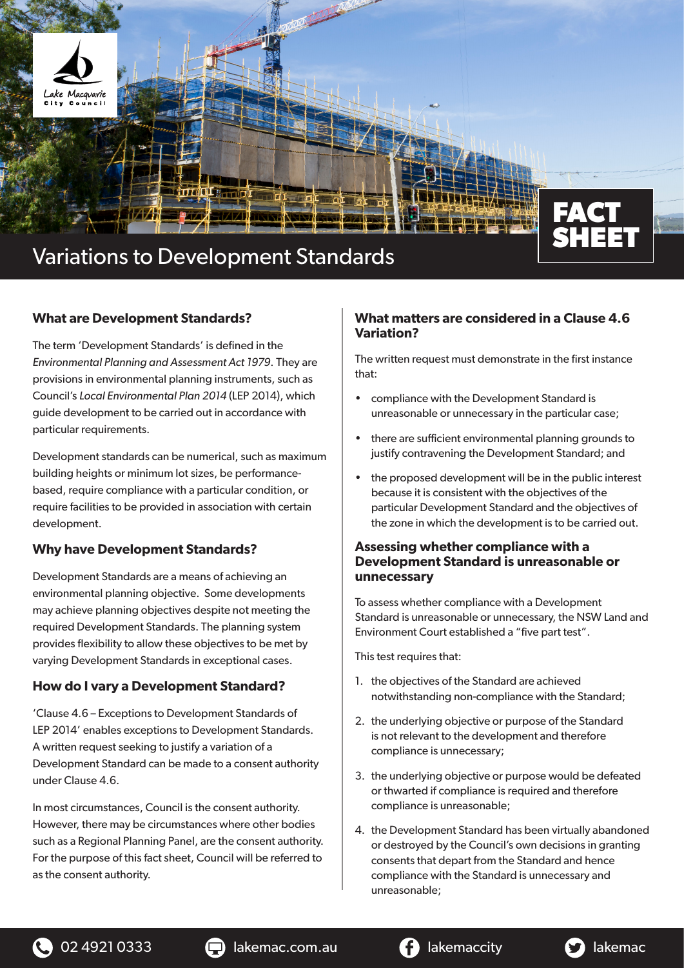

## **What are Development Standards?**

The term 'Development Standards' is defined in the *Environmental Planning and Assessment Act 1979*. They are provisions in environmental planning instruments, such as Council's *Local Environmental Plan 2014* (LEP 2014), which guide development to be carried out in accordance with particular requirements.

Development standards can be numerical, such as maximum building heights or minimum lot sizes, be performancebased, require compliance with a particular condition, or require facilities to be provided in association with certain development.

# **Why have Development Standards?**

Development Standards are a means of achieving an environmental planning objective. Some developments may achieve planning objectives despite not meeting the required Development Standards. The planning system provides flexibility to allow these objectives to be met by varying Development Standards in exceptional cases.

# **How do I vary a Development Standard?**

'Clause 4.6 – Exceptions to Development Standards of LEP 2014' enables exceptions to Development Standards. A written request seeking to justify a variation of a Development Standard can be made to a consent authority under Clause 4.6.

In most circumstances, Council is the consent authority. However, there may be circumstances where other bodies such as a Regional Planning Panel, are the consent authority. For the purpose of this fact sheet, Council will be referred to as the consent authority.

## **What matters are considered in a Clause 4.6 Variation?**

The written request must demonstrate in the first instance that:

- compliance with the Development Standard is unreasonable or unnecessary in the particular case;
- there are sufficient environmental planning grounds to justify contravening the Development Standard; and
- the proposed development will be in the public interest because it is consistent with the objectives of the particular Development Standard and the objectives of the zone in which the development is to be carried out.

## **Assessing whether compliance with a Development Standard is unreasonable or unnecessary**

To assess whether compliance with a Development Standard is unreasonable or unnecessary, the NSW Land and Environment Court established a "five part test".

This test requires that:

- 1. the objectives of the Standard are achieved notwithstanding non-compliance with the Standard;
- 2. the underlying objective or purpose of the Standard is not relevant to the development and therefore compliance is unnecessary;
- 3. the underlying objective or purpose would be defeated or thwarted if compliance is required and therefore compliance is unreasonable;
- 4. the Development Standard has been virtually abandoned or destroyed by the Council's own decisions in granting consents that depart from the Standard and hence compliance with the Standard is unnecessary and unreasonable;



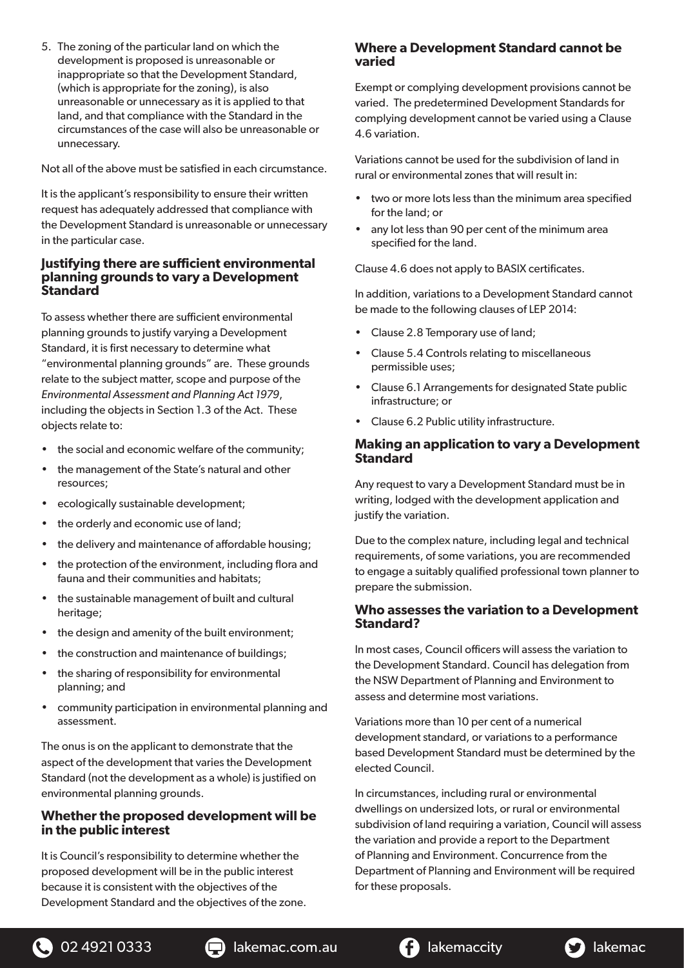5. The zoning of the particular land on which the development is proposed is unreasonable or inappropriate so that the Development Standard, (which is appropriate for the zoning), is also unreasonable or unnecessary as it is applied to that land, and that compliance with the Standard in the circumstances of the case will also be unreasonable or unnecessary.

Not all of the above must be satisfied in each circumstance.

It is the applicant's responsibility to ensure their written request has adequately addressed that compliance with the Development Standard is unreasonable or unnecessary in the particular case.

#### **Justifying there are sufficient environmental planning grounds to vary a Development Standard**

To assess whether there are sufficient environmental planning grounds to justify varying a Development Standard, it is first necessary to determine what "environmental planning grounds" are. These grounds relate to the subject matter, scope and purpose of the *Environmental Assessment and Planning Act 1979*, including the objects in Section 1.3 of the Act. These objects relate to:

- the social and economic welfare of the community;
- the management of the State's natural and other resources;
- ecologically sustainable development;
- the orderly and economic use of land:
- the delivery and maintenance of affordable housing;
- the protection of the environment, including flora and fauna and their communities and habitats;
- the sustainable management of built and cultural heritage;
- the design and amenity of the built environment;
- the construction and maintenance of buildings;
- the sharing of responsibility for environmental planning; and
- community participation in environmental planning and assessment.

The onus is on the applicant to demonstrate that the aspect of the development that varies the Development Standard (not the development as a whole) is justified on environmental planning grounds.

## **Whether the proposed development will be in the public interest**

It is Council's responsibility to determine whether the proposed development will be in the public interest because it is consistent with the objectives of the Development Standard and the objectives of the zone.

# **Where a Development Standard cannot be varied**

Exempt or complying development provisions cannot be varied. The predetermined Development Standards for complying development cannot be varied using a Clause 4.6 variation.

Variations cannot be used for the subdivision of land in rural or environmental zones that will result in:

- two or more lots less than the minimum area specified for the land; or
- any lot less than 90 per cent of the minimum area specified for the land.

Clause 4.6 does not apply to BASIX certificates.

In addition, variations to a Development Standard cannot be made to the following clauses of LEP 2014:

- Clause 2.8 Temporary use of land;
- Clause 5.4 Controls relating to miscellaneous permissible uses;
- Clause 6.1 Arrangements for designated State public infrastructure; or
- Clause 6.2 Public utility infrastructure.

#### **Making an application to vary a Development Standard**

Any request to vary a Development Standard must be in writing, lodged with the development application and justify the variation.

Due to the complex nature, including legal and technical requirements, of some variations, you are recommended to engage a suitably qualified professional town planner to prepare the submission.

#### **Who assesses the variation to a Development Standard?**

In most cases, Council officers will assess the variation to the Development Standard. Council has delegation from the NSW Department of Planning and Environment to assess and determine most variations.

Variations more than 10 per cent of a numerical development standard, or variations to a performance based Development Standard must be determined by the elected Council.

In circumstances, including rural or environmental dwellings on undersized lots, or rural or environmental subdivision of land requiring a variation, Council will assess the variation and provide a report to the Department of Planning and Environment. Concurrence from the Department of Planning and Environment will be required for these proposals.